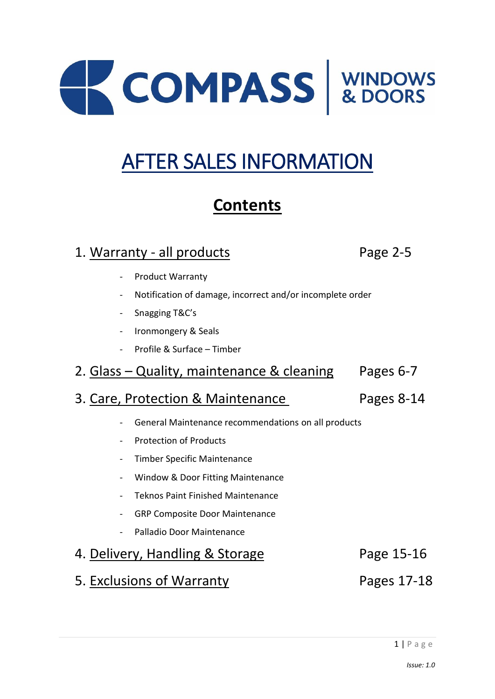

# AFTER SALES INFORMATION

# **Contents**

# 1. Warranty - all products example 2-5

- Product Warranty
- Notification of damage, incorrect and/or incomplete order
- Snagging T&C's
- Ironmongery & Seals
- Profile & Surface Timber
- 2. Glass Quality, maintenance & cleaning Pages 6-7

# 3. Care, Protection & Maintenance Pages 8-14

- General Maintenance recommendations on all products
- Protection of Products
- Timber Specific Maintenance
- Window & Door Fitting Maintenance
- Teknos Paint Finished Maintenance
- GRP Composite Door Maintenance
- Palladio Door Maintenance

# 4. Delivery, Handling & Storage Page 15-16

5. Exclusions of Warranty Pages 17-18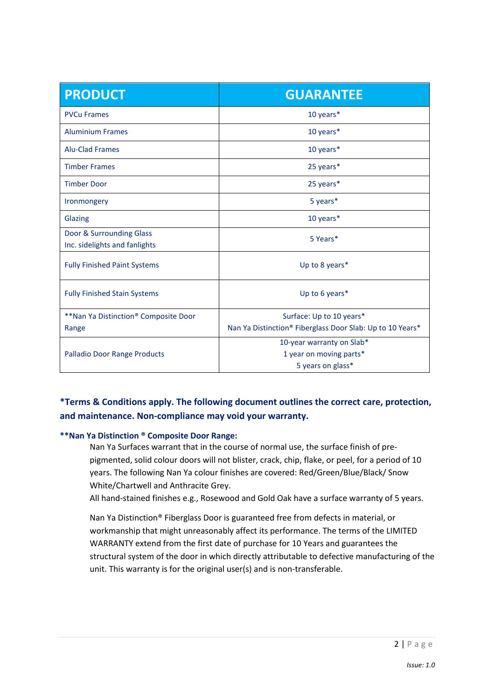| <b>PRODUCT</b>                                            | <b>GUARANTEE</b>                                          |  |
|-----------------------------------------------------------|-----------------------------------------------------------|--|
| <b>PVCu Frames</b>                                        | 10 years*                                                 |  |
| <b>Aluminium Frames</b>                                   | 10 years*                                                 |  |
| <b>Alu-Clad Frames</b>                                    | 10 years*                                                 |  |
| <b>Timber Frames</b>                                      | 25 years*                                                 |  |
| <b>Timber Door</b>                                        | 25 years*                                                 |  |
| Ironmongery                                               | 5 years*                                                  |  |
| <b>Glazing</b>                                            | 10 years*                                                 |  |
| Door & Surrounding Glass<br>Inc. sidelights and fanlights | 5 Years*                                                  |  |
| <b>Fully Finished Paint Systems</b>                       | Up to 8 years*                                            |  |
| <b>Fully Finished Stain Systems</b>                       | Up to 6 years*                                            |  |
| **Nan Ya Distinction® Composite Door                      | Surface: Up to 10 years*                                  |  |
| Range                                                     | Nan Ya Distinction® Fiberglass Door Slab: Up to 10 Years* |  |
|                                                           | 10-year warranty on Slab*                                 |  |
| Palladio Door Range Products                              | 1 year on moving parts*                                   |  |
|                                                           | 5 years on glass*                                         |  |

## **\*Terms & Conditions apply. The following document outlines the correct care, protection, and maintenance. Non-compliance may void your warranty.**

#### **\*\*Nan Ya Distinction ® Composite Door Range:**

Nan Ya Surfaces warrant that in the course of normal use, the surface finish of prepigmented, solid colour doors will not blister, crack, chip, flake, or peel, for a period of 10 years. The following Nan Ya colour finishes are covered: Red/Green/Blue/Black/ Snow White/Chartwell and Anthracite Grey.

All hand-stained finishes e.g., Rosewood and Gold Oak have a surface warranty of 5 years.

Nan Ya Distinction® Fiberglass Door is guaranteed free from defects in material, or workmanship that might unreasonably affect its performance. The terms of the LIMITED WARRANTY extend from the first date of purchase for 10 Years and guarantees the structural system of the door in which directly attributable to defective manufacturing of the unit. This warranty is for the original user(s) and is non-transferable.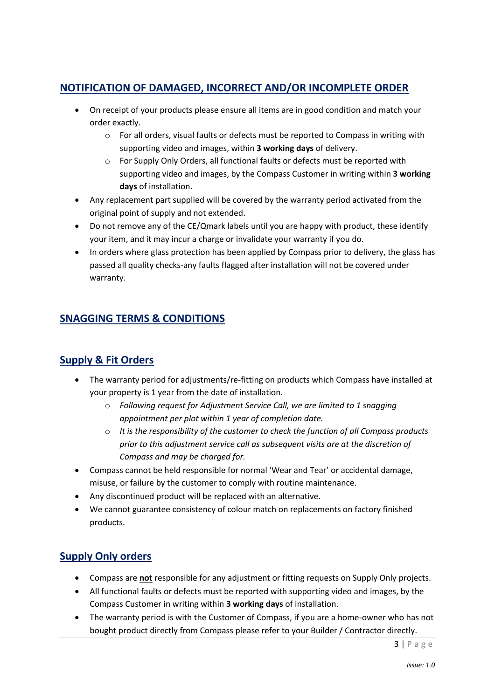# **NOTIFICATION OF DAMAGED, INCORRECT AND/OR INCOMPLETE ORDER**

- On receipt of your products please ensure all items are in good condition and match your order exactly.
	- $\circ$  For all orders, visual faults or defects must be reported to Compass in writing with supporting video and images, within **3 working days** of delivery.
	- o For Supply Only Orders, all functional faults or defects must be reported with supporting video and images, by the Compass Customer in writing within **3 working days** of installation.
- Any replacement part supplied will be covered by the warranty period activated from the original point of supply and not extended.
- Do not remove any of the CE/Qmark labels until you are happy with product, these identify your item, and it may incur a charge or invalidate your warranty if you do.
- In orders where glass protection has been applied by Compass prior to delivery, the glass has passed all quality checks-any faults flagged after installation will not be covered under warranty.

# **SNAGGING TERMS & CONDITIONS**

## **Supply & Fit Orders**

- The warranty period for adjustments/re-fitting on products which Compass have installed at your property is 1 year from the date of installation.
	- o *Following request for Adjustment Service Call, we are limited to 1 snagging appointment per plot within 1 year of completion date.*
	- o *It is the responsibility of the customer to check the function of all Compass products prior to this adjustment service call as subsequent visits are at the discretion of Compass and may be charged for.*
- Compass cannot be held responsible for normal 'Wear and Tear' or accidental damage, misuse, or failure by the customer to comply with routine maintenance.
- Any discontinued product will be replaced with an alternative.
- We cannot guarantee consistency of colour match on replacements on factory finished products.

# **Supply Only orders**

- Compass are **not** responsible for any adjustment or fitting requests on Supply Only projects.
- All functional faults or defects must be reported with supporting video and images, by the Compass Customer in writing within **3 working days** of installation.
- The warranty period is with the Customer of Compass, if you are a home-owner who has not bought product directly from Compass please refer to your Builder / Contractor directly.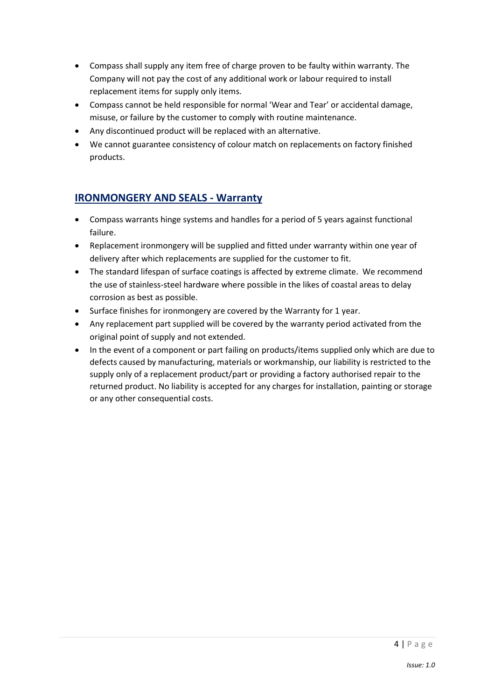- Compass shall supply any item free of charge proven to be faulty within warranty. The Company will not pay the cost of any additional work or labour required to install replacement items for supply only items.
- Compass cannot be held responsible for normal 'Wear and Tear' or accidental damage, misuse, or failure by the customer to comply with routine maintenance.
- Any discontinued product will be replaced with an alternative.
- We cannot guarantee consistency of colour match on replacements on factory finished products.

# **IRONMONGERY AND SEALS - Warranty**

- Compass warrants hinge systems and handles for a period of 5 years against functional failure.
- Replacement ironmongery will be supplied and fitted under warranty within one year of delivery after which replacements are supplied for the customer to fit.
- The standard lifespan of surface coatings is affected by extreme climate. We recommend the use of stainless-steel hardware where possible in the likes of coastal areas to delay corrosion as best as possible.
- Surface finishes for ironmongery are covered by the Warranty for 1 year.
- Any replacement part supplied will be covered by the warranty period activated from the original point of supply and not extended.
- In the event of a component or part failing on products/items supplied only which are due to defects caused by manufacturing, materials or workmanship, our liability is restricted to the supply only of a replacement product/part or providing a factory authorised repair to the returned product. No liability is accepted for any charges for installation, painting or storage or any other consequential costs.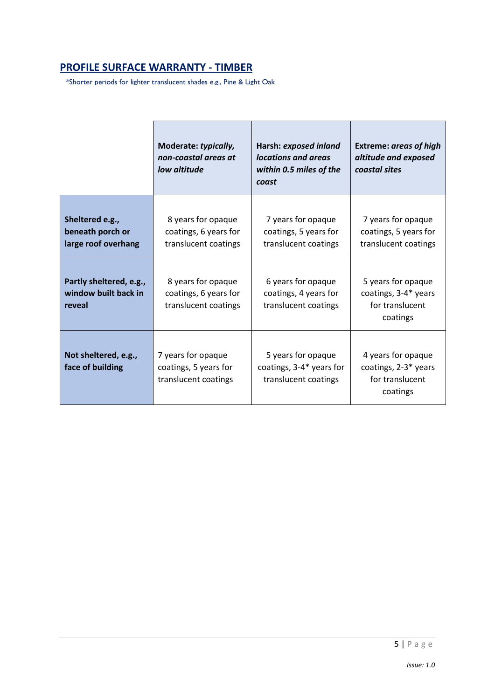# **PROFILE SURFACE WARRANTY - TIMBER**

\*Shorter periods for lighter translucent shades e.g., Pine & Light Oak

|                                                            | Moderate: typically,<br>non-coastal areas at<br>low altitude        | Harsh: exposed inland<br>locations and areas<br>within 0.5 miles of the<br>coast | <b>Extreme: areas of high</b><br>altitude and exposed<br>coastal sites    |
|------------------------------------------------------------|---------------------------------------------------------------------|----------------------------------------------------------------------------------|---------------------------------------------------------------------------|
| Sheltered e.g.,<br>beneath porch or<br>large roof overhang | 8 years for opaque<br>coatings, 6 years for<br>translucent coatings | 7 years for opaque<br>coatings, 5 years for<br>translucent coatings              | 7 years for opaque<br>coatings, 5 years for<br>translucent coatings       |
| Partly sheltered, e.g.,<br>window built back in<br>reveal  | 8 years for opaque<br>coatings, 6 years for<br>translucent coatings | 6 years for opaque<br>coatings, 4 years for<br>translucent coatings              | 5 years for opaque<br>coatings, 3-4* years<br>for translucent<br>coatings |
| Not sheltered, e.g.,<br>face of building                   | 7 years for opaque<br>coatings, 5 years for<br>translucent coatings | 5 years for opaque<br>coatings, 3-4* years for<br>translucent coatings           | 4 years for opaque<br>coatings, 2-3* years<br>for translucent<br>coatings |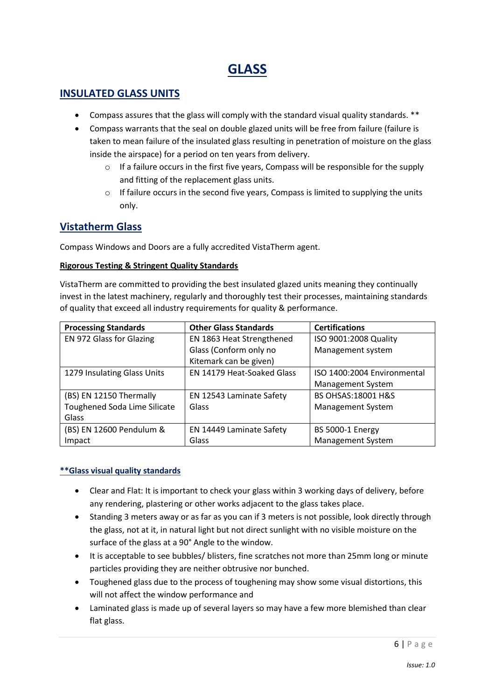# **GLASS**

# **INSULATED GLASS UNITS**

- Compass assures that the glass will comply with the standard visual quality standards. \*\*
- Compass warrants that the seal on double glazed units will be free from failure (failure is taken to mean failure of the insulated glass resulting in penetration of moisture on the glass inside the airspace) for a period on ten years from delivery.
	- $\circ$  If a failure occurs in the first five years, Compass will be responsible for the supply and fitting of the replacement glass units.
	- $\circ$  If failure occurs in the second five years, Compass is limited to supplying the units only.

# **Vistatherm Glass**

Compass Windows and Doors are a fully accredited VistaTherm agent.

#### **Rigorous Testing & Stringent Quality Standards**

VistaTherm are committed to providing the best insulated glazed units meaning they continually invest in the latest machinery, regularly and thoroughly test their processes, maintaining standards of quality that exceed all industry requirements for quality & performance.

| <b>Processing Standards</b>  | <b>Other Glass Standards</b> | <b>Certifications</b>         |  |
|------------------------------|------------------------------|-------------------------------|--|
| EN 972 Glass for Glazing     | EN 1863 Heat Strengthened    | ISO 9001:2008 Quality         |  |
|                              | Glass (Conform only no       | Management system             |  |
|                              | Kitemark can be given)       |                               |  |
| 1279 Insulating Glass Units  | EN 14179 Heat-Soaked Glass   | ISO 1400:2004 Environmental   |  |
|                              |                              | Management System             |  |
| (BS) EN 12150 Thermally      | EN 12543 Laminate Safety     | <b>BS OHSAS:18001 H&amp;S</b> |  |
| Toughened Soda Lime Silicate | Glass                        | <b>Management System</b>      |  |
| Glass                        |                              |                               |  |
| (BS) EN 12600 Pendulum &     | EN 14449 Laminate Safety     | <b>BS 5000-1 Energy</b>       |  |
| Impact                       | Glass                        | Management System             |  |

#### **\*\*Glass visual quality standards**

- Clear and Flat: It is important to check your glass within 3 working days of delivery, before any rendering, plastering or other works adjacent to the glass takes place.
- Standing 3 meters away or as far as you can if 3 meters is not possible, look directly through the glass, not at it, in natural light but not direct sunlight with no visible moisture on the surface of the glass at a 90° Angle to the window.
- It is acceptable to see bubbles/ blisters, fine scratches not more than 25mm long or minute particles providing they are neither obtrusive nor bunched.
- Toughened glass due to the process of toughening may show some visual distortions, this will not affect the window performance and
- Laminated glass is made up of several layers so may have a few more blemished than clear flat glass.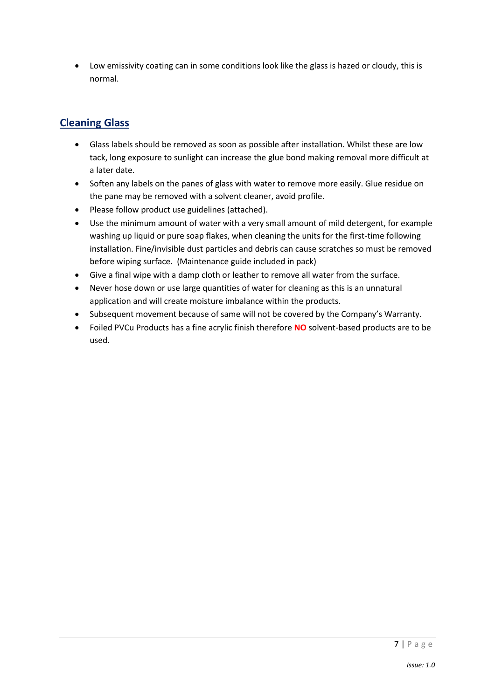• Low emissivity coating can in some conditions look like the glass is hazed or cloudy, this is normal.

# **Cleaning Glass**

- Glass labels should be removed as soon as possible after installation. Whilst these are low tack, long exposure to sunlight can increase the glue bond making removal more difficult at a later date.
- Soften any labels on the panes of glass with water to remove more easily. Glue residue on the pane may be removed with a solvent cleaner, avoid profile.
- Please follow product use guidelines (attached).
- Use the minimum amount of water with a very small amount of mild detergent, for example washing up liquid or pure soap flakes, when cleaning the units for the first-time following installation. Fine/invisible dust particles and debris can cause scratches so must be removed before wiping surface. (Maintenance guide included in pack)
- Give a final wipe with a damp cloth or leather to remove all water from the surface.
- Never hose down or use large quantities of water for cleaning as this is an unnatural application and will create moisture imbalance within the products.
- Subsequent movement because of same will not be covered by the Company's Warranty.
- Foiled PVCu Products has a fine acrylic finish therefore **NO** solvent-based products are to be used.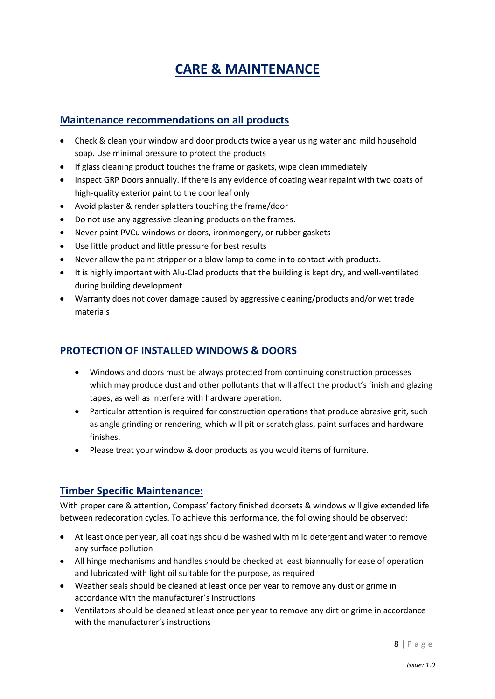# **CARE & MAINTENANCE**

# **Maintenance recommendations on all products**

- Check & clean your window and door products twice a year using water and mild household soap. Use minimal pressure to protect the products
- If glass cleaning product touches the frame or gaskets, wipe clean immediately
- Inspect GRP Doors annually. If there is any evidence of coating wear repaint with two coats of high-quality exterior paint to the door leaf only
- Avoid plaster & render splatters touching the frame/door
- Do not use any aggressive cleaning products on the frames.
- Never paint PVCu windows or doors, ironmongery, or rubber gaskets
- Use little product and little pressure for best results
- Never allow the paint stripper or a blow lamp to come in to contact with products.
- It is highly important with Alu-Clad products that the building is kept dry, and well-ventilated during building development
- Warranty does not cover damage caused by aggressive cleaning/products and/or wet trade materials

## **PROTECTION OF INSTALLED WINDOWS & DOORS**

- Windows and doors must be always protected from continuing construction processes which may produce dust and other pollutants that will affect the product's finish and glazing tapes, as well as interfere with hardware operation.
- Particular attention is required for construction operations that produce abrasive grit, such as angle grinding or rendering, which will pit or scratch glass, paint surfaces and hardware finishes.
- Please treat your window & door products as you would items of furniture.

## **Timber Specific Maintenance:**

With proper care & attention, Compass' factory finished doorsets & windows will give extended life between redecoration cycles. To achieve this performance, the following should be observed:

- At least once per year, all coatings should be washed with mild detergent and water to remove any surface pollution
- All hinge mechanisms and handles should be checked at least biannually for ease of operation and lubricated with light oil suitable for the purpose, as required
- Weather seals should be cleaned at least once per year to remove any dust or grime in accordance with the manufacturer's instructions
- Ventilators should be cleaned at least once per year to remove any dirt or grime in accordance with the manufacturer's instructions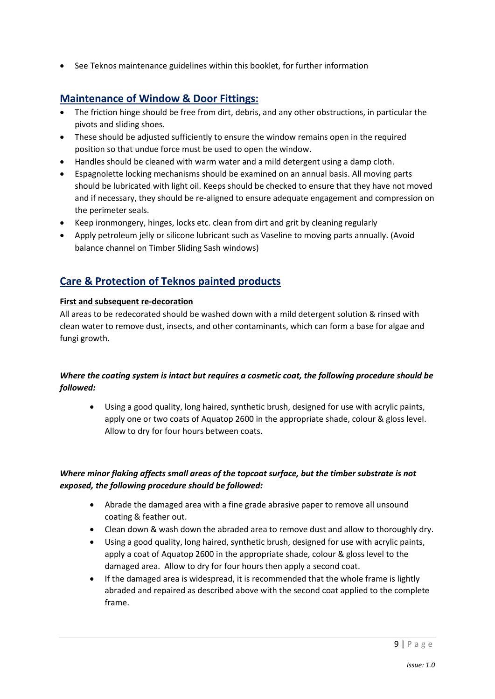• See Teknos maintenance guidelines within this booklet, for further information

# **Maintenance of Window & Door Fittings:**

- The friction hinge should be free from dirt, debris, and any other obstructions, in particular the pivots and sliding shoes.
- These should be adjusted sufficiently to ensure the window remains open in the required position so that undue force must be used to open the window.
- Handles should be cleaned with warm water and a mild detergent using a damp cloth.
- Espagnolette locking mechanisms should be examined on an annual basis. All moving parts should be lubricated with light oil. Keeps should be checked to ensure that they have not moved and if necessary, they should be re-aligned to ensure adequate engagement and compression on the perimeter seals.
- Keep ironmongery, hinges, locks etc. clean from dirt and grit by cleaning regularly
- Apply petroleum jelly or silicone lubricant such as Vaseline to moving parts annually. (Avoid balance channel on Timber Sliding Sash windows)

# **Care & Protection of Teknos painted products**

#### **First and subsequent re-decoration**

All areas to be redecorated should be washed down with a mild detergent solution & rinsed with clean water to remove dust, insects, and other contaminants, which can form a base for algae and fungi growth.

#### *Where the coating system is intact but requires a cosmetic coat, the following procedure should be followed:*

• Using a good quality, long haired, synthetic brush, designed for use with acrylic paints, apply one or two coats of Aquatop 2600 in the appropriate shade, colour & gloss level. Allow to dry for four hours between coats.

#### *Where minor flaking affects small areas of the topcoat surface, but the timber substrate is not exposed, the following procedure should be followed:*

- Abrade the damaged area with a fine grade abrasive paper to remove all unsound coating & feather out.
- Clean down & wash down the abraded area to remove dust and allow to thoroughly dry.
- Using a good quality, long haired, synthetic brush, designed for use with acrylic paints, apply a coat of Aquatop 2600 in the appropriate shade, colour & gloss level to the damaged area. Allow to dry for four hours then apply a second coat.
- If the damaged area is widespread, it is recommended that the whole frame is lightly abraded and repaired as described above with the second coat applied to the complete frame.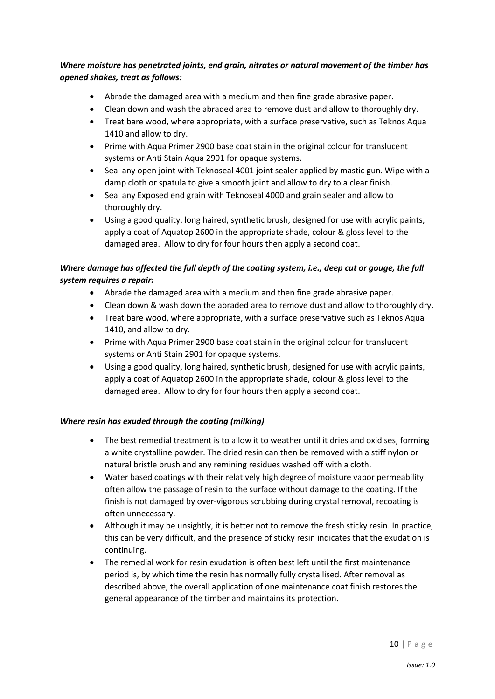#### *Where moisture has penetrated joints, end grain, nitrates or natural movement of the timber has opened shakes, treat as follows:*

- Abrade the damaged area with a medium and then fine grade abrasive paper.
- Clean down and wash the abraded area to remove dust and allow to thoroughly dry.
- Treat bare wood, where appropriate, with a surface preservative, such as Teknos Aqua 1410 and allow to dry.
- Prime with Aqua Primer 2900 base coat stain in the original colour for translucent systems or Anti Stain Aqua 2901 for opaque systems.
- Seal any open joint with Teknoseal 4001 joint sealer applied by mastic gun. Wipe with a damp cloth or spatula to give a smooth joint and allow to dry to a clear finish.
- Seal any Exposed end grain with Teknoseal 4000 and grain sealer and allow to thoroughly dry.
- Using a good quality, long haired, synthetic brush, designed for use with acrylic paints, apply a coat of Aquatop 2600 in the appropriate shade, colour & gloss level to the damaged area. Allow to dry for four hours then apply a second coat.

#### *Where damage has affected the full depth of the coating system, i.e., deep cut or gouge, the full system requires a repair:*

- Abrade the damaged area with a medium and then fine grade abrasive paper.
- Clean down & wash down the abraded area to remove dust and allow to thoroughly dry.
- Treat bare wood, where appropriate, with a surface preservative such as Teknos Aqua 1410, and allow to dry.
- Prime with Aqua Primer 2900 base coat stain in the original colour for translucent systems or Anti Stain 2901 for opaque systems.
- Using a good quality, long haired, synthetic brush, designed for use with acrylic paints, apply a coat of Aquatop 2600 in the appropriate shade, colour & gloss level to the damaged area. Allow to dry for four hours then apply a second coat.

#### *Where resin has exuded through the coating (milking)*

- The best remedial treatment is to allow it to weather until it dries and oxidises, forming a white crystalline powder. The dried resin can then be removed with a stiff nylon or natural bristle brush and any remining residues washed off with a cloth.
- Water based coatings with their relatively high degree of moisture vapor permeability often allow the passage of resin to the surface without damage to the coating. If the finish is not damaged by over-vigorous scrubbing during crystal removal, recoating is often unnecessary.
- Although it may be unsightly, it is better not to remove the fresh sticky resin. In practice, this can be very difficult, and the presence of sticky resin indicates that the exudation is continuing.
- The remedial work for resin exudation is often best left until the first maintenance period is, by which time the resin has normally fully crystallised. After removal as described above, the overall application of one maintenance coat finish restores the general appearance of the timber and maintains its protection.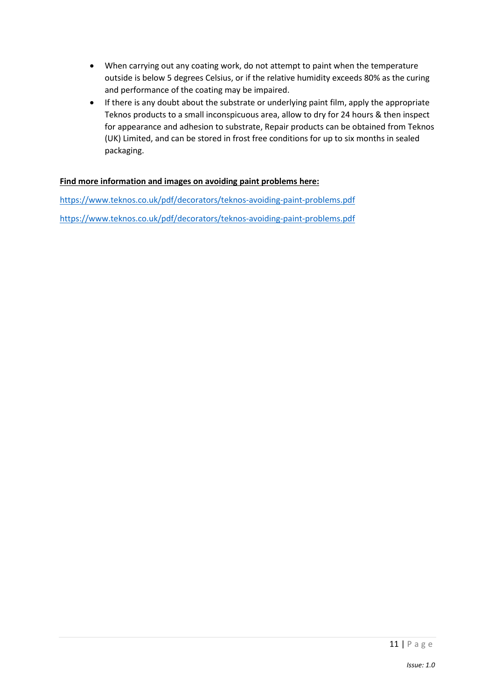- When carrying out any coating work, do not attempt to paint when the temperature outside is below 5 degrees Celsius, or if the relative humidity exceeds 80% as the curing and performance of the coating may be impaired.
- If there is any doubt about the substrate or underlying paint film, apply the appropriate Teknos products to a small inconspicuous area, allow to dry for 24 hours & then inspect for appearance and adhesion to substrate, Repair products can be obtained from Teknos (UK) Limited, and can be stored in frost free conditions for up to six months in sealed packaging.

#### **Find more information and images on avoiding paint problems here:**

<https://www.teknos.co.uk/pdf/decorators/teknos-avoiding-paint-problems.pdf> <https://www.teknos.co.uk/pdf/decorators/teknos-avoiding-paint-problems.pdf>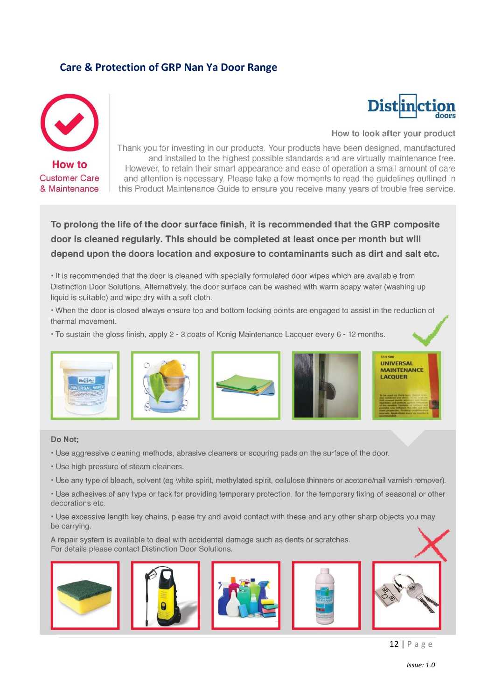# **Care & Protection of GRP Nan Ya Door Range**



# **Distinction** doors

#### How to look after your product

Thank you for investing in our products. Your products have been designed, manufactured and installed to the highest possible standards and are virtually maintenance free. However, to retain their smart appearance and ease of operation a small amount of care and attention is necessary. Please take a few moments to read the quidelines outlined in this Product Maintenance Guide to ensure you receive many years of trouble free service.

To prolong the life of the door surface finish, it is recommended that the GRP composite door is cleaned regularly. This should be completed at least once per month but will depend upon the doors location and exposure to contaminants such as dirt and salt etc.

. It is recommended that the door is cleaned with specially formulated door wipes which are available from Distinction Door Solutions. Alternatively, the door surface can be washed with warm soapy water (washing up liquid is suitable) and wipe dry with a soft cloth.

. When the door is closed always ensure top and bottom locking points are engaged to assist in the reduction of thermal movement.

. To sustain the gloss finish, apply 2 - 3 coats of Konig Maintenance Lacquer every 6 - 12 months.









**UNIVERSAL MAINTENANCE LACOUER** 

#### Do Not:

- . Use aggressive cleaning methods, abrasive cleaners or scouring pads on the surface of the door.
- Use high pressure of steam cleaners.
- Use any type of bleach, solvent (eq white spirit, methylated spirit, cellulose thinners or acetone/nail varnish remover).

• Use adhesives of any type or tack for providing temporary protection, for the temporary fixing of seasonal or other decorations etc.

• Use excessive length key chains, please try and avoid contact with these and any other sharp objects you may be carrying.

A repair system is available to deal with accidental damage such as dents or scratches. For details please contact Distinction Door Solutions.









12 | P a g e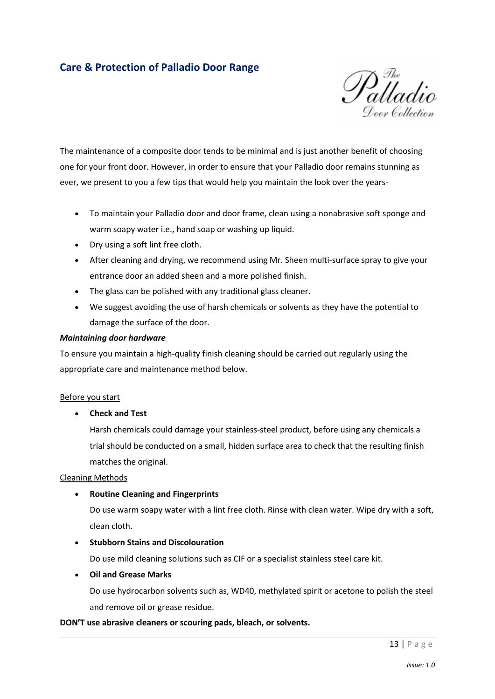# **Care & Protection of Palladio Door Range**



The maintenance of a composite door tends to be minimal and is just another benefit of choosing one for your front door. However, in order to ensure that your Palladio door remains stunning as ever, we present to you a few tips that would help you maintain the look over the years-

- To maintain your Palladio door and door frame, clean using a nonabrasive soft sponge and warm soapy water i.e., hand soap or washing up liquid.
- Dry using a soft lint free cloth.
- After cleaning and drying, we recommend using Mr. Sheen multi-surface spray to give your entrance door an added sheen and a more polished finish.
- The glass can be polished with any traditional glass cleaner.
- We suggest avoiding the use of harsh chemicals or solvents as they have the potential to damage the surface of the door.

#### *Maintaining door hardware*

To ensure you maintain a high-quality finish cleaning should be carried out regularly using the appropriate care and maintenance method below.

#### Before you start

#### • **Check and Test**

Harsh chemicals could damage your stainless-steel product, before using any chemicals a trial should be conducted on a small, hidden surface area to check that the resulting finish matches the original.

#### Cleaning Methods

#### • **Routine Cleaning and Fingerprints**

Do use warm soapy water with a lint free cloth. Rinse with clean water. Wipe dry with a soft, clean cloth.

#### • **Stubborn Stains and Discolouration**

Do use mild cleaning solutions such as CIF or a specialist stainless steel care kit.

#### • **Oil and Grease Marks**

Do use hydrocarbon solvents such as, WD40, methylated spirit or acetone to polish the steel and remove oil or grease residue.

#### **DON'T use abrasive cleaners or scouring pads, bleach, or solvents.**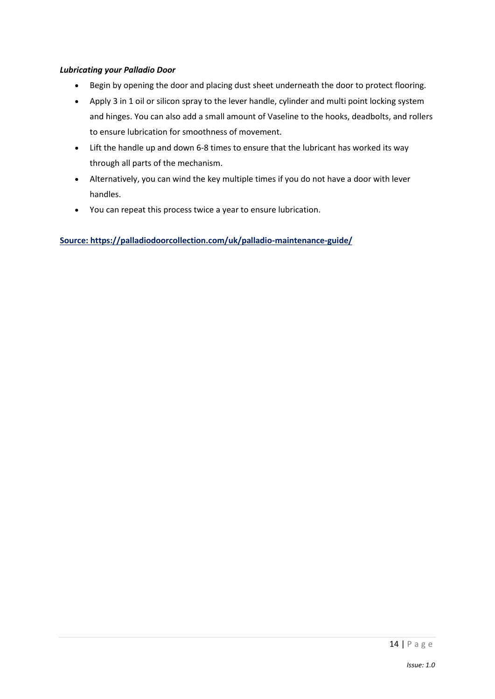#### *Lubricating your Palladio Door*

- Begin by opening the door and placing dust sheet underneath the door to protect flooring.
- Apply 3 in 1 oil or silicon spray to the lever handle, cylinder and multi point locking system and hinges. You can also add a small amount of Vaseline to the hooks, deadbolts, and rollers to ensure lubrication for smoothness of movement.
- Lift the handle up and down 6-8 times to ensure that the lubricant has worked its way through all parts of the mechanism.
- Alternatively, you can wind the key multiple times if you do not have a door with lever handles.
- You can repeat this process twice a year to ensure lubrication.

**Source: https://palladiodoorcollection.com/uk/palladio-maintenance-guide/**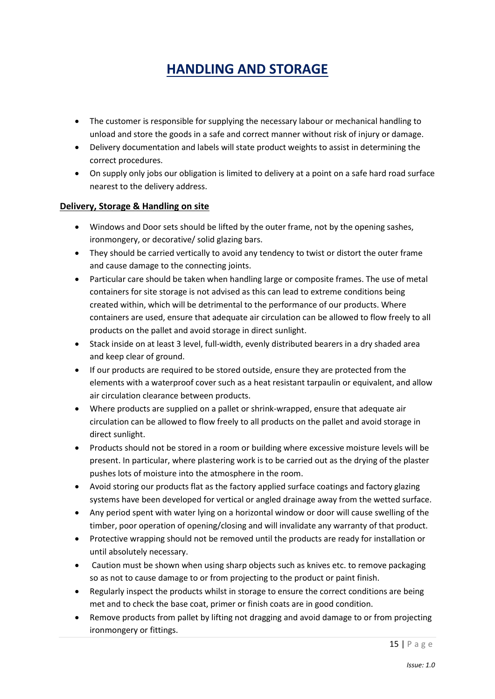# **HANDLING AND STORAGE**

- The customer is responsible for supplying the necessary labour or mechanical handling to unload and store the goods in a safe and correct manner without risk of injury or damage.
- Delivery documentation and labels will state product weights to assist in determining the correct procedures.
- On supply only jobs our obligation is limited to delivery at a point on a safe hard road surface nearest to the delivery address.

#### **Delivery, Storage & Handling on site**

- Windows and Door sets should be lifted by the outer frame, not by the opening sashes, ironmongery, or decorative/ solid glazing bars.
- They should be carried vertically to avoid any tendency to twist or distort the outer frame and cause damage to the connecting joints.
- Particular care should be taken when handling large or composite frames. The use of metal containers for site storage is not advised as this can lead to extreme conditions being created within, which will be detrimental to the performance of our products. Where containers are used, ensure that adequate air circulation can be allowed to flow freely to all products on the pallet and avoid storage in direct sunlight.
- Stack inside on at least 3 level, full-width, evenly distributed bearers in a dry shaded area and keep clear of ground.
- If our products are required to be stored outside, ensure they are protected from the elements with a waterproof cover such as a heat resistant tarpaulin or equivalent, and allow air circulation clearance between products.
- Where products are supplied on a pallet or shrink-wrapped, ensure that adequate air circulation can be allowed to flow freely to all products on the pallet and avoid storage in direct sunlight.
- Products should not be stored in a room or building where excessive moisture levels will be present. In particular, where plastering work is to be carried out as the drying of the plaster pushes lots of moisture into the atmosphere in the room.
- Avoid storing our products flat as the factory applied surface coatings and factory glazing systems have been developed for vertical or angled drainage away from the wetted surface.
- Any period spent with water lying on a horizontal window or door will cause swelling of the timber, poor operation of opening/closing and will invalidate any warranty of that product.
- Protective wrapping should not be removed until the products are ready for installation or until absolutely necessary.
- Caution must be shown when using sharp objects such as knives etc. to remove packaging so as not to cause damage to or from projecting to the product or paint finish.
- Regularly inspect the products whilst in storage to ensure the correct conditions are being met and to check the base coat, primer or finish coats are in good condition.
- Remove products from pallet by lifting not dragging and avoid damage to or from projecting ironmongery or fittings.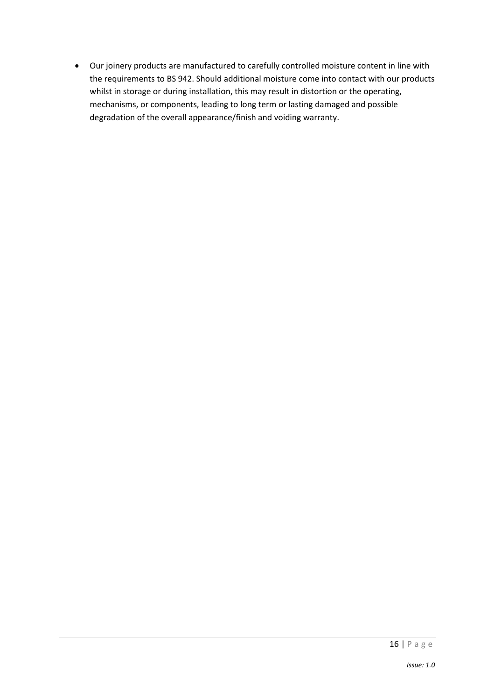• Our joinery products are manufactured to carefully controlled moisture content in line with the requirements to BS 942. Should additional moisture come into contact with our products whilst in storage or during installation, this may result in distortion or the operating, mechanisms, or components, leading to long term or lasting damaged and possible degradation of the overall appearance/finish and voiding warranty.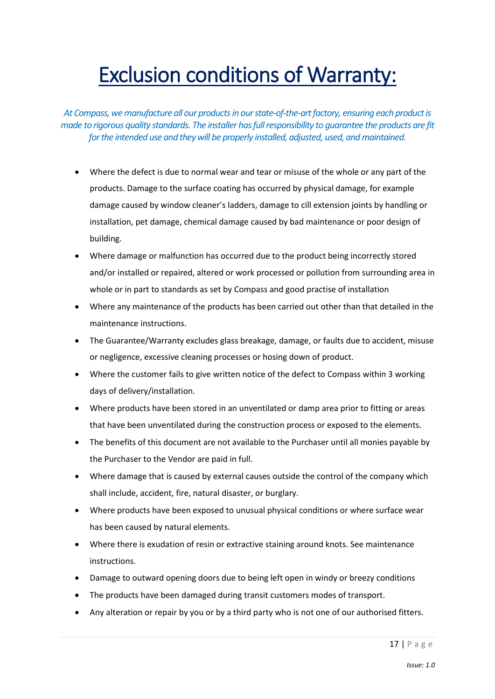# Exclusion conditions of Warranty:

At Compass, we manufacture all our products in our state-of-the-art factory, ensuring each product is *made to rigorous quality standards. The installer has full responsibility to guarantee the products are fit for the intended use and they will be properly installed, adjusted, used, and maintained.*

- Where the defect is due to normal wear and tear or misuse of the whole or any part of the products. Damage to the surface coating has occurred by physical damage, for example damage caused by window cleaner's ladders, damage to cill extension joints by handling or installation, pet damage, chemical damage caused by bad maintenance or poor design of building.
- Where damage or malfunction has occurred due to the product being incorrectly stored and/or installed or repaired, altered or work processed or pollution from surrounding area in whole or in part to standards as set by Compass and good practise of installation
- Where any maintenance of the products has been carried out other than that detailed in the maintenance instructions.
- The Guarantee/Warranty excludes glass breakage, damage, or faults due to accident, misuse or negligence, excessive cleaning processes or hosing down of product.
- Where the customer fails to give written notice of the defect to Compass within 3 working days of delivery/installation.
- Where products have been stored in an unventilated or damp area prior to fitting or areas that have been unventilated during the construction process or exposed to the elements.
- The benefits of this document are not available to the Purchaser until all monies payable by the Purchaser to the Vendor are paid in full.
- Where damage that is caused by external causes outside the control of the company which shall include, accident, fire, natural disaster, or burglary.
- Where products have been exposed to unusual physical conditions or where surface wear has been caused by natural elements.
- Where there is exudation of resin or extractive staining around knots. See maintenance instructions.
- Damage to outward opening doors due to being left open in windy or breezy conditions
- The products have been damaged during transit customers modes of transport.
- Any alteration or repair by you or by a third party who is not one of our authorised fitters.